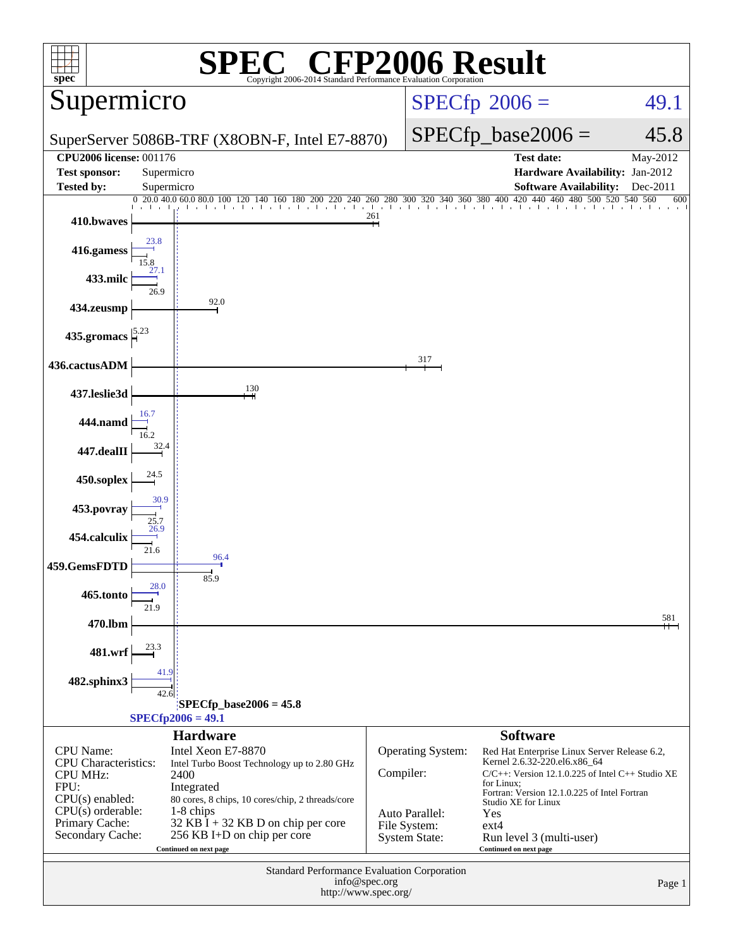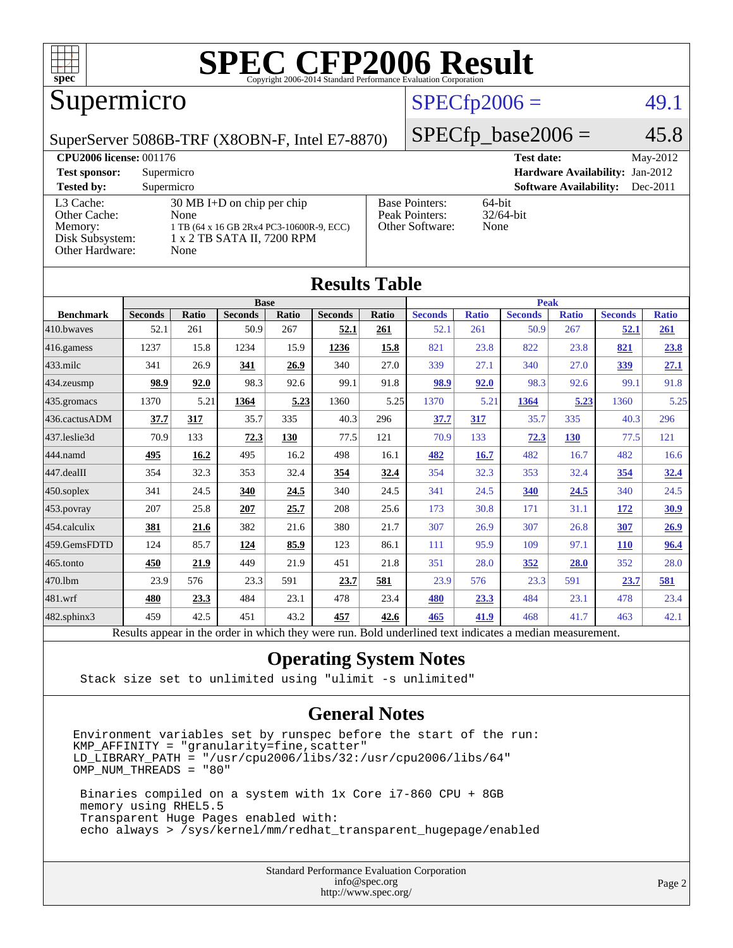

#### Supermicro

#### $SPECfp2006 = 49.1$  $SPECfp2006 = 49.1$

SuperServer 5086B-TRF (X8OBN-F, Intel E7-8870)

 $SPECfp\_base2006 = 45.8$ 

| <b>CPU2006 license: 001176</b>                                             |                                                                                                                                |                                                            | May-2012<br><b>Test date:</b>               |
|----------------------------------------------------------------------------|--------------------------------------------------------------------------------------------------------------------------------|------------------------------------------------------------|---------------------------------------------|
| <b>Test sponsor:</b>                                                       | Supermicro                                                                                                                     | <b>Hardware Availability: Jan-2012</b>                     |                                             |
| <b>Tested by:</b>                                                          | Supermicro                                                                                                                     |                                                            | <b>Software Availability:</b><br>$Dec-2011$ |
| L3 Cache:<br>Other Cache:<br>Memory:<br>Disk Subsystem:<br>Other Hardware: | $30 \text{ MB I+D}$ on chip per chip<br>None<br>1 TB (64 x 16 GB 2Rx4 PC3-10600R-9, ECC)<br>1 x 2 TB SATA II, 7200 RPM<br>None | <b>Base Pointers:</b><br>Peak Pointers:<br>Other Software: | 64-bit<br>$32/64$ -bit<br>None              |

**[Results Table](http://www.spec.org/auto/cpu2006/Docs/result-fields.html#ResultsTable)**

| Results Table    |                                                                                                          |              |                |       |                |              |                |              |                |              |                |              |
|------------------|----------------------------------------------------------------------------------------------------------|--------------|----------------|-------|----------------|--------------|----------------|--------------|----------------|--------------|----------------|--------------|
|                  |                                                                                                          |              | <b>Base</b>    |       |                | <b>Peak</b>  |                |              |                |              |                |              |
| <b>Benchmark</b> | <b>Seconds</b>                                                                                           | <b>Ratio</b> | <b>Seconds</b> | Ratio | <b>Seconds</b> | <b>Ratio</b> | <b>Seconds</b> | <b>Ratio</b> | <b>Seconds</b> | <b>Ratio</b> | <b>Seconds</b> | <b>Ratio</b> |
| 410.bwayes       | 52.1                                                                                                     | 261          | 50.9           | 267   | 52.1           | 261          | 52.1           | 261          | 50.9           | 267          | <u>52.1</u>    | 261          |
| $416$ .gamess    | 1237                                                                                                     | 15.8         | 1234           | 15.9  | 1236           | 15.8         | 821            | 23.8         | 822            | 23.8         | 821            | 23.8         |
| 433.milc         | 341                                                                                                      | 26.9         | 341            | 26.9  | 340            | 27.0         | 339            | 27.1         | 340            | 27.0         | <u>339</u>     | 27.1         |
| $434$ . zeusmp   | 98.9                                                                                                     | 92.0         | 98.3           | 92.6  | 99.1           | 91.8         | 98.9           | 92.0         | 98.3           | 92.6         | 99.1           | 91.8         |
| $435.$ gromacs   | 1370                                                                                                     | 5.21         | 1364           | 5.23  | 1360           | 5.25         | 1370           | 5.21         | 1364           | 5.23         | 1360           | 5.25         |
| 436.cactusADM    | 37.7                                                                                                     | 317          | 35.7           | 335   | 40.3           | 296          | 37.7           | 317          | 35.7           | 335          | 40.3           | 296          |
| 437.leslie3d     | 70.9                                                                                                     | 133          | 72.3           | 130   | 77.5           | 121          | 70.9           | 133          | 72.3           | 130          | 77.5           | 121          |
| 444.namd         | 495                                                                                                      | 16.2         | 495            | 16.2  | 498            | 16.1         | 482            | 16.7         | 482            | 16.7         | 482            | 16.6         |
| $447$ .dealII    | 354                                                                                                      | 32.3         | 353            | 32.4  | 354            | <u>32.4</u>  | 354            | 32.3         | 353            | 32.4         | 354            | 32.4         |
| $450$ .soplex    | 341                                                                                                      | 24.5         | 340            | 24.5  | 340            | 24.5         | 341            | 24.5         | 340            | 24.5         | 340            | 24.5         |
| 453.povray       | 207                                                                                                      | 25.8         | 207            | 25.7  | 208            | 25.6         | 173            | 30.8         | 171            | 31.1         | <u>172</u>     | <u>30.9</u>  |
| $ 454$ .calculix | 381                                                                                                      | 21.6         | 382            | 21.6  | 380            | 21.7         | 307            | 26.9         | 307            | 26.8         | 307            | 26.9         |
| 459.GemsFDTD     | 124                                                                                                      | 85.7         | 124            | 85.9  | 123            | 86.1         | 111            | 95.9         | 109            | 97.1         | <b>110</b>     | 96.4         |
| $465$ .tonto     | 450                                                                                                      | 21.9         | 449            | 21.9  | 451            | 21.8         | 351            | 28.0         | 352            | 28.0         | 352            | 28.0         |
| 470.1bm          | 23.9                                                                                                     | 576          | 23.3           | 591   | 23.7           | 581          | 23.9           | 576          | 23.3           | 591          | 23.7           | 581          |
| $ 481$ .wrf      | 480                                                                                                      | 23.3         | 484            | 23.1  | 478            | 23.4         | 480            | 23.3         | 484            | 23.1         | 478            | 23.4         |
| 482.sphinx3      | 459                                                                                                      | 42.5         | 451            | 43.2  | 457            | 42.6         | 465            | 41.9         | 468            | 41.7         | 463            | 42.1         |
|                  | Results appear in the order in which they were run. Bold underlined text indicates a median measurement. |              |                |       |                |              |                |              |                |              |                |              |

#### **[Operating System Notes](http://www.spec.org/auto/cpu2006/Docs/result-fields.html#OperatingSystemNotes)**

Stack size set to unlimited using "ulimit -s unlimited"

#### **[General Notes](http://www.spec.org/auto/cpu2006/Docs/result-fields.html#GeneralNotes)**

Environment variables set by runspec before the start of the run: KMP\_AFFINITY = "granularity=fine,scatter" LD\_LIBRARY\_PATH = "/usr/cpu2006/libs/32:/usr/cpu2006/libs/64" OMP\_NUM\_THREADS = "80"

 Binaries compiled on a system with 1x Core i7-860 CPU + 8GB memory using RHEL5.5 Transparent Huge Pages enabled with: echo always > /sys/kernel/mm/redhat\_transparent\_hugepage/enabled

> Standard Performance Evaluation Corporation [info@spec.org](mailto:info@spec.org) <http://www.spec.org/>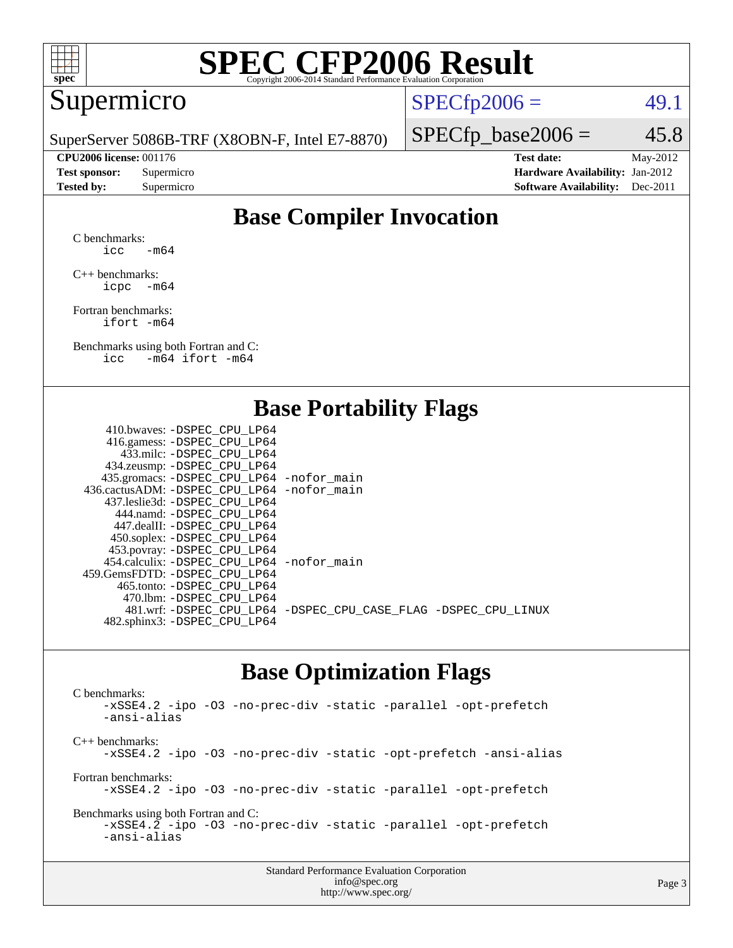

#### Supermicro

 $SPECTp2006 =$  49.1

SuperServer 5086B-TRF (X8OBN-F, Intel E7-8870)

 $SPECTp\_base2006 = 45.8$ 

**[CPU2006 license:](http://www.spec.org/auto/cpu2006/Docs/result-fields.html#CPU2006license)** 001176 **[Test date:](http://www.spec.org/auto/cpu2006/Docs/result-fields.html#Testdate)** May-2012 **[Test sponsor:](http://www.spec.org/auto/cpu2006/Docs/result-fields.html#Testsponsor)** Supermicro **[Hardware Availability:](http://www.spec.org/auto/cpu2006/Docs/result-fields.html#HardwareAvailability)** Jan-2012 **[Tested by:](http://www.spec.org/auto/cpu2006/Docs/result-fields.html#Testedby)** Supermicro **[Software Availability:](http://www.spec.org/auto/cpu2006/Docs/result-fields.html#SoftwareAvailability)** Dec-2011

### **[Base Compiler Invocation](http://www.spec.org/auto/cpu2006/Docs/result-fields.html#BaseCompilerInvocation)**

[C benchmarks](http://www.spec.org/auto/cpu2006/Docs/result-fields.html#Cbenchmarks):  $\text{icc}$  -m64

[C++ benchmarks:](http://www.spec.org/auto/cpu2006/Docs/result-fields.html#CXXbenchmarks) [icpc -m64](http://www.spec.org/cpu2006/results/res2012q3/cpu2006-20120517-21791.flags.html#user_CXXbase_intel_icpc_64bit_bedb90c1146cab66620883ef4f41a67e)

[Fortran benchmarks](http://www.spec.org/auto/cpu2006/Docs/result-fields.html#Fortranbenchmarks): [ifort -m64](http://www.spec.org/cpu2006/results/res2012q3/cpu2006-20120517-21791.flags.html#user_FCbase_intel_ifort_64bit_ee9d0fb25645d0210d97eb0527dcc06e)

[Benchmarks using both Fortran and C](http://www.spec.org/auto/cpu2006/Docs/result-fields.html#BenchmarksusingbothFortranandC): [icc -m64](http://www.spec.org/cpu2006/results/res2012q3/cpu2006-20120517-21791.flags.html#user_CC_FCbase_intel_icc_64bit_0b7121f5ab7cfabee23d88897260401c) [ifort -m64](http://www.spec.org/cpu2006/results/res2012q3/cpu2006-20120517-21791.flags.html#user_CC_FCbase_intel_ifort_64bit_ee9d0fb25645d0210d97eb0527dcc06e)

#### **[Base Portability Flags](http://www.spec.org/auto/cpu2006/Docs/result-fields.html#BasePortabilityFlags)**

| 410.bwaves: -DSPEC CPU LP64                 |                                                                |
|---------------------------------------------|----------------------------------------------------------------|
| 416.gamess: - DSPEC_CPU_LP64                |                                                                |
| 433.milc: -DSPEC CPU LP64                   |                                                                |
| 434.zeusmp: -DSPEC_CPU_LP64                 |                                                                |
| 435.gromacs: -DSPEC_CPU_LP64 -nofor_main    |                                                                |
| 436.cactusADM: -DSPEC CPU LP64 -nofor main  |                                                                |
| 437.leslie3d: -DSPEC CPU LP64               |                                                                |
| 444.namd: -DSPEC CPU LP64                   |                                                                |
| 447.dealII: -DSPEC CPU LP64                 |                                                                |
| 450.soplex: -DSPEC_CPU_LP64                 |                                                                |
| 453.povray: -DSPEC_CPU_LP64                 |                                                                |
| 454.calculix: - DSPEC CPU LP64 - nofor main |                                                                |
| 459.GemsFDTD: -DSPEC CPU LP64               |                                                                |
| 465.tonto: - DSPEC CPU LP64                 |                                                                |
| 470.1bm: - DSPEC CPU LP64                   |                                                                |
|                                             | 481.wrf: -DSPEC_CPU_LP64 -DSPEC_CPU_CASE_FLAG -DSPEC_CPU_LINUX |
| 482.sphinx3: -DSPEC_CPU_LP64                |                                                                |
|                                             |                                                                |

#### **[Base Optimization Flags](http://www.spec.org/auto/cpu2006/Docs/result-fields.html#BaseOptimizationFlags)**

[C benchmarks](http://www.spec.org/auto/cpu2006/Docs/result-fields.html#Cbenchmarks): [-xSSE4.2](http://www.spec.org/cpu2006/results/res2012q3/cpu2006-20120517-21791.flags.html#user_CCbase_f-xSSE42_f91528193cf0b216347adb8b939d4107) [-ipo](http://www.spec.org/cpu2006/results/res2012q3/cpu2006-20120517-21791.flags.html#user_CCbase_f-ipo) [-O3](http://www.spec.org/cpu2006/results/res2012q3/cpu2006-20120517-21791.flags.html#user_CCbase_f-O3) [-no-prec-div](http://www.spec.org/cpu2006/results/res2012q3/cpu2006-20120517-21791.flags.html#user_CCbase_f-no-prec-div) [-static](http://www.spec.org/cpu2006/results/res2012q3/cpu2006-20120517-21791.flags.html#user_CCbase_f-static) [-parallel](http://www.spec.org/cpu2006/results/res2012q3/cpu2006-20120517-21791.flags.html#user_CCbase_f-parallel) [-opt-prefetch](http://www.spec.org/cpu2006/results/res2012q3/cpu2006-20120517-21791.flags.html#user_CCbase_f-opt-prefetch) [-ansi-alias](http://www.spec.org/cpu2006/results/res2012q3/cpu2006-20120517-21791.flags.html#user_CCbase_f-ansi-alias) [C++ benchmarks:](http://www.spec.org/auto/cpu2006/Docs/result-fields.html#CXXbenchmarks) [-xSSE4.2](http://www.spec.org/cpu2006/results/res2012q3/cpu2006-20120517-21791.flags.html#user_CXXbase_f-xSSE42_f91528193cf0b216347adb8b939d4107) [-ipo](http://www.spec.org/cpu2006/results/res2012q3/cpu2006-20120517-21791.flags.html#user_CXXbase_f-ipo) [-O3](http://www.spec.org/cpu2006/results/res2012q3/cpu2006-20120517-21791.flags.html#user_CXXbase_f-O3) [-no-prec-div](http://www.spec.org/cpu2006/results/res2012q3/cpu2006-20120517-21791.flags.html#user_CXXbase_f-no-prec-div) [-static](http://www.spec.org/cpu2006/results/res2012q3/cpu2006-20120517-21791.flags.html#user_CXXbase_f-static) [-opt-prefetch](http://www.spec.org/cpu2006/results/res2012q3/cpu2006-20120517-21791.flags.html#user_CXXbase_f-opt-prefetch) [-ansi-alias](http://www.spec.org/cpu2006/results/res2012q3/cpu2006-20120517-21791.flags.html#user_CXXbase_f-ansi-alias) [Fortran benchmarks](http://www.spec.org/auto/cpu2006/Docs/result-fields.html#Fortranbenchmarks): [-xSSE4.2](http://www.spec.org/cpu2006/results/res2012q3/cpu2006-20120517-21791.flags.html#user_FCbase_f-xSSE42_f91528193cf0b216347adb8b939d4107) [-ipo](http://www.spec.org/cpu2006/results/res2012q3/cpu2006-20120517-21791.flags.html#user_FCbase_f-ipo) [-O3](http://www.spec.org/cpu2006/results/res2012q3/cpu2006-20120517-21791.flags.html#user_FCbase_f-O3) [-no-prec-div](http://www.spec.org/cpu2006/results/res2012q3/cpu2006-20120517-21791.flags.html#user_FCbase_f-no-prec-div) [-static](http://www.spec.org/cpu2006/results/res2012q3/cpu2006-20120517-21791.flags.html#user_FCbase_f-static) [-parallel](http://www.spec.org/cpu2006/results/res2012q3/cpu2006-20120517-21791.flags.html#user_FCbase_f-parallel) [-opt-prefetch](http://www.spec.org/cpu2006/results/res2012q3/cpu2006-20120517-21791.flags.html#user_FCbase_f-opt-prefetch) [Benchmarks using both Fortran and C](http://www.spec.org/auto/cpu2006/Docs/result-fields.html#BenchmarksusingbothFortranandC): [-xSSE4.2](http://www.spec.org/cpu2006/results/res2012q3/cpu2006-20120517-21791.flags.html#user_CC_FCbase_f-xSSE42_f91528193cf0b216347adb8b939d4107) [-ipo](http://www.spec.org/cpu2006/results/res2012q3/cpu2006-20120517-21791.flags.html#user_CC_FCbase_f-ipo) [-O3](http://www.spec.org/cpu2006/results/res2012q3/cpu2006-20120517-21791.flags.html#user_CC_FCbase_f-O3) [-no-prec-div](http://www.spec.org/cpu2006/results/res2012q3/cpu2006-20120517-21791.flags.html#user_CC_FCbase_f-no-prec-div) [-static](http://www.spec.org/cpu2006/results/res2012q3/cpu2006-20120517-21791.flags.html#user_CC_FCbase_f-static) [-parallel](http://www.spec.org/cpu2006/results/res2012q3/cpu2006-20120517-21791.flags.html#user_CC_FCbase_f-parallel) [-opt-prefetch](http://www.spec.org/cpu2006/results/res2012q3/cpu2006-20120517-21791.flags.html#user_CC_FCbase_f-opt-prefetch) [-ansi-alias](http://www.spec.org/cpu2006/results/res2012q3/cpu2006-20120517-21791.flags.html#user_CC_FCbase_f-ansi-alias)

> Standard Performance Evaluation Corporation [info@spec.org](mailto:info@spec.org) <http://www.spec.org/>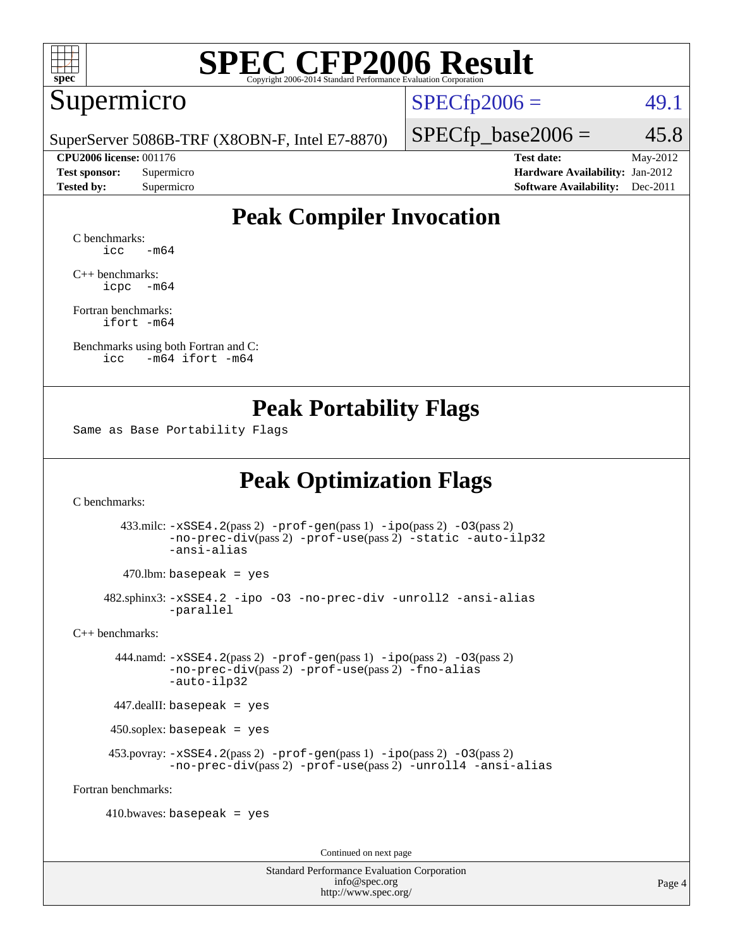

#### Supermicro

 $SPECTp2006 =$  49.1

SuperServer 5086B-TRF (X8OBN-F, Intel E7-8870)

 $SPECTp\_base2006 = 45.8$ **[CPU2006 license:](http://www.spec.org/auto/cpu2006/Docs/result-fields.html#CPU2006license)** 001176 **[Test date:](http://www.spec.org/auto/cpu2006/Docs/result-fields.html#Testdate)** May-2012

**[Test sponsor:](http://www.spec.org/auto/cpu2006/Docs/result-fields.html#Testsponsor)** Supermicro Supermicro **[Hardware Availability:](http://www.spec.org/auto/cpu2006/Docs/result-fields.html#HardwareAvailability)** Jan-2012 **[Tested by:](http://www.spec.org/auto/cpu2006/Docs/result-fields.html#Testedby)** Supermicro **Supermicro [Software Availability:](http://www.spec.org/auto/cpu2006/Docs/result-fields.html#SoftwareAvailability)** Dec-2011

### **[Peak Compiler Invocation](http://www.spec.org/auto/cpu2006/Docs/result-fields.html#PeakCompilerInvocation)**

[C benchmarks](http://www.spec.org/auto/cpu2006/Docs/result-fields.html#Cbenchmarks):  $\text{icc}$   $-\text{m64}$ 

[C++ benchmarks:](http://www.spec.org/auto/cpu2006/Docs/result-fields.html#CXXbenchmarks) [icpc -m64](http://www.spec.org/cpu2006/results/res2012q3/cpu2006-20120517-21791.flags.html#user_CXXpeak_intel_icpc_64bit_bedb90c1146cab66620883ef4f41a67e)

[Fortran benchmarks](http://www.spec.org/auto/cpu2006/Docs/result-fields.html#Fortranbenchmarks): [ifort -m64](http://www.spec.org/cpu2006/results/res2012q3/cpu2006-20120517-21791.flags.html#user_FCpeak_intel_ifort_64bit_ee9d0fb25645d0210d97eb0527dcc06e)

[Benchmarks using both Fortran and C](http://www.spec.org/auto/cpu2006/Docs/result-fields.html#BenchmarksusingbothFortranandC): [icc -m64](http://www.spec.org/cpu2006/results/res2012q3/cpu2006-20120517-21791.flags.html#user_CC_FCpeak_intel_icc_64bit_0b7121f5ab7cfabee23d88897260401c) [ifort -m64](http://www.spec.org/cpu2006/results/res2012q3/cpu2006-20120517-21791.flags.html#user_CC_FCpeak_intel_ifort_64bit_ee9d0fb25645d0210d97eb0527dcc06e)

#### **[Peak Portability Flags](http://www.spec.org/auto/cpu2006/Docs/result-fields.html#PeakPortabilityFlags)**

Same as Base Portability Flags

## **[Peak Optimization Flags](http://www.spec.org/auto/cpu2006/Docs/result-fields.html#PeakOptimizationFlags)**

[C benchmarks](http://www.spec.org/auto/cpu2006/Docs/result-fields.html#Cbenchmarks):

 433.milc: [-xSSE4.2](http://www.spec.org/cpu2006/results/res2012q3/cpu2006-20120517-21791.flags.html#user_peakPASS2_CFLAGSPASS2_LDFLAGS433_milc_f-xSSE42_f91528193cf0b216347adb8b939d4107)(pass 2) [-prof-gen](http://www.spec.org/cpu2006/results/res2012q3/cpu2006-20120517-21791.flags.html#user_peakPASS1_CFLAGSPASS1_LDFLAGS433_milc_prof_gen_e43856698f6ca7b7e442dfd80e94a8fc)(pass 1) [-ipo](http://www.spec.org/cpu2006/results/res2012q3/cpu2006-20120517-21791.flags.html#user_peakPASS2_CFLAGSPASS2_LDFLAGS433_milc_f-ipo)(pass 2) [-O3](http://www.spec.org/cpu2006/results/res2012q3/cpu2006-20120517-21791.flags.html#user_peakPASS2_CFLAGSPASS2_LDFLAGS433_milc_f-O3)(pass 2) [-no-prec-div](http://www.spec.org/cpu2006/results/res2012q3/cpu2006-20120517-21791.flags.html#user_peakPASS2_CFLAGSPASS2_LDFLAGS433_milc_f-no-prec-div)(pass 2) [-prof-use](http://www.spec.org/cpu2006/results/res2012q3/cpu2006-20120517-21791.flags.html#user_peakPASS2_CFLAGSPASS2_LDFLAGS433_milc_prof_use_bccf7792157ff70d64e32fe3e1250b55)(pass 2) [-static](http://www.spec.org/cpu2006/results/res2012q3/cpu2006-20120517-21791.flags.html#user_peakOPTIMIZE433_milc_f-static) [-auto-ilp32](http://www.spec.org/cpu2006/results/res2012q3/cpu2006-20120517-21791.flags.html#user_peakCOPTIMIZE433_milc_f-auto-ilp32) [-ansi-alias](http://www.spec.org/cpu2006/results/res2012q3/cpu2006-20120517-21791.flags.html#user_peakCOPTIMIZE433_milc_f-ansi-alias)

 $470$ .lbm: basepeak = yes

 482.sphinx3: [-xSSE4.2](http://www.spec.org/cpu2006/results/res2012q3/cpu2006-20120517-21791.flags.html#user_peakOPTIMIZE482_sphinx3_f-xSSE42_f91528193cf0b216347adb8b939d4107) [-ipo](http://www.spec.org/cpu2006/results/res2012q3/cpu2006-20120517-21791.flags.html#user_peakOPTIMIZE482_sphinx3_f-ipo) [-O3](http://www.spec.org/cpu2006/results/res2012q3/cpu2006-20120517-21791.flags.html#user_peakOPTIMIZE482_sphinx3_f-O3) [-no-prec-div](http://www.spec.org/cpu2006/results/res2012q3/cpu2006-20120517-21791.flags.html#user_peakOPTIMIZE482_sphinx3_f-no-prec-div) [-unroll2](http://www.spec.org/cpu2006/results/res2012q3/cpu2006-20120517-21791.flags.html#user_peakCOPTIMIZE482_sphinx3_f-unroll_784dae83bebfb236979b41d2422d7ec2) [-ansi-alias](http://www.spec.org/cpu2006/results/res2012q3/cpu2006-20120517-21791.flags.html#user_peakCOPTIMIZE482_sphinx3_f-ansi-alias) [-parallel](http://www.spec.org/cpu2006/results/res2012q3/cpu2006-20120517-21791.flags.html#user_peakCOPTIMIZE482_sphinx3_f-parallel)

[C++ benchmarks:](http://www.spec.org/auto/cpu2006/Docs/result-fields.html#CXXbenchmarks)

 444.namd: [-xSSE4.2](http://www.spec.org/cpu2006/results/res2012q3/cpu2006-20120517-21791.flags.html#user_peakPASS2_CXXFLAGSPASS2_LDFLAGS444_namd_f-xSSE42_f91528193cf0b216347adb8b939d4107)(pass 2) [-prof-gen](http://www.spec.org/cpu2006/results/res2012q3/cpu2006-20120517-21791.flags.html#user_peakPASS1_CXXFLAGSPASS1_LDFLAGS444_namd_prof_gen_e43856698f6ca7b7e442dfd80e94a8fc)(pass 1) [-ipo](http://www.spec.org/cpu2006/results/res2012q3/cpu2006-20120517-21791.flags.html#user_peakPASS2_CXXFLAGSPASS2_LDFLAGS444_namd_f-ipo)(pass 2) [-O3](http://www.spec.org/cpu2006/results/res2012q3/cpu2006-20120517-21791.flags.html#user_peakPASS2_CXXFLAGSPASS2_LDFLAGS444_namd_f-O3)(pass 2) [-no-prec-div](http://www.spec.org/cpu2006/results/res2012q3/cpu2006-20120517-21791.flags.html#user_peakPASS2_CXXFLAGSPASS2_LDFLAGS444_namd_f-no-prec-div)(pass 2) [-prof-use](http://www.spec.org/cpu2006/results/res2012q3/cpu2006-20120517-21791.flags.html#user_peakPASS2_CXXFLAGSPASS2_LDFLAGS444_namd_prof_use_bccf7792157ff70d64e32fe3e1250b55)(pass 2) [-fno-alias](http://www.spec.org/cpu2006/results/res2012q3/cpu2006-20120517-21791.flags.html#user_peakCXXOPTIMIZEOPTIMIZE444_namd_f-no-alias_694e77f6c5a51e658e82ccff53a9e63a) [-auto-ilp32](http://www.spec.org/cpu2006/results/res2012q3/cpu2006-20120517-21791.flags.html#user_peakCXXOPTIMIZE444_namd_f-auto-ilp32)

447.dealII: basepeak = yes

450.soplex: basepeak = yes

 453.povray: [-xSSE4.2](http://www.spec.org/cpu2006/results/res2012q3/cpu2006-20120517-21791.flags.html#user_peakPASS2_CXXFLAGSPASS2_LDFLAGS453_povray_f-xSSE42_f91528193cf0b216347adb8b939d4107)(pass 2) [-prof-gen](http://www.spec.org/cpu2006/results/res2012q3/cpu2006-20120517-21791.flags.html#user_peakPASS1_CXXFLAGSPASS1_LDFLAGS453_povray_prof_gen_e43856698f6ca7b7e442dfd80e94a8fc)(pass 1) [-ipo](http://www.spec.org/cpu2006/results/res2012q3/cpu2006-20120517-21791.flags.html#user_peakPASS2_CXXFLAGSPASS2_LDFLAGS453_povray_f-ipo)(pass 2) [-O3](http://www.spec.org/cpu2006/results/res2012q3/cpu2006-20120517-21791.flags.html#user_peakPASS2_CXXFLAGSPASS2_LDFLAGS453_povray_f-O3)(pass 2) [-no-prec-div](http://www.spec.org/cpu2006/results/res2012q3/cpu2006-20120517-21791.flags.html#user_peakPASS2_CXXFLAGSPASS2_LDFLAGS453_povray_f-no-prec-div)(pass 2) [-prof-use](http://www.spec.org/cpu2006/results/res2012q3/cpu2006-20120517-21791.flags.html#user_peakPASS2_CXXFLAGSPASS2_LDFLAGS453_povray_prof_use_bccf7792157ff70d64e32fe3e1250b55)(pass 2) [-unroll4](http://www.spec.org/cpu2006/results/res2012q3/cpu2006-20120517-21791.flags.html#user_peakCXXOPTIMIZE453_povray_f-unroll_4e5e4ed65b7fd20bdcd365bec371b81f) [-ansi-alias](http://www.spec.org/cpu2006/results/res2012q3/cpu2006-20120517-21791.flags.html#user_peakCXXOPTIMIZE453_povray_f-ansi-alias)

[Fortran benchmarks](http://www.spec.org/auto/cpu2006/Docs/result-fields.html#Fortranbenchmarks):

 $410.bwaves: basepeak = yes$ 

Continued on next page

Standard Performance Evaluation Corporation [info@spec.org](mailto:info@spec.org) <http://www.spec.org/>